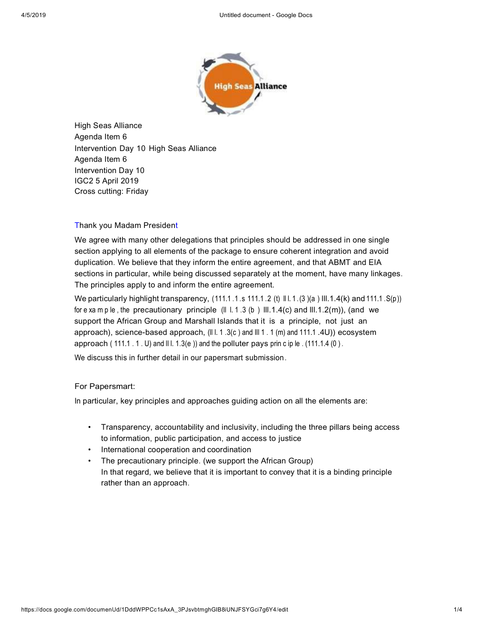

High Seas Alliance Agenda Item 6 Intervention Day 10 High Seas Alliance Agenda Item 6 Intervention Day 10 IGC2 5 April 2019 Cross cutting: Friday

# Thank you Madam President

We agree with many other delegations that principles should be addressed in one single section applying to all elements of the package to ensure coherent integration and avoid duplication. We believe that they inform the entire agreement, and that ABMT and EIA sections in particular, while being discussed separately at the moment, have many linkages. The principles apply to and inform the entire agreement.

We particularly highlight transparency,  $(111.1 .1 .s 111.1 .2 (t) \parallel 1.1.(3) (a) \parallel 1.1.4(k)$  and  $111.1.S(p)$ ) for e xa m p le , the precautionary principle  $(II L. 1.3 (b) III. 1.4(c)$  and  $III.1.2(m)$ , (and we support the African Group and Marshall Islands that it is a principle, not just an approach), science-based approach, (III. 1.3(c) and III 1.1 (m) and 111.1 .4U)) ecosystem approach (111.1  $.1$   $.0$ ) and III. 1.3(e)) and the polluter pays prin c ip le  $. (111.1.4 \cdot 0)$ .

We discuss this in further detail in our papersmart submission.

### For Papersmart:

In particular, key principles and approaches guiding action on all the elements are:

- Transparency, accountability and inclusivity, including the three pillars being access to information, public participation, and access to justice
- International cooperation and coordination
- The precautionary principle. (we support the African Group) In that regard, we believe that it is important to convey that it is a binding principle rather than an approach.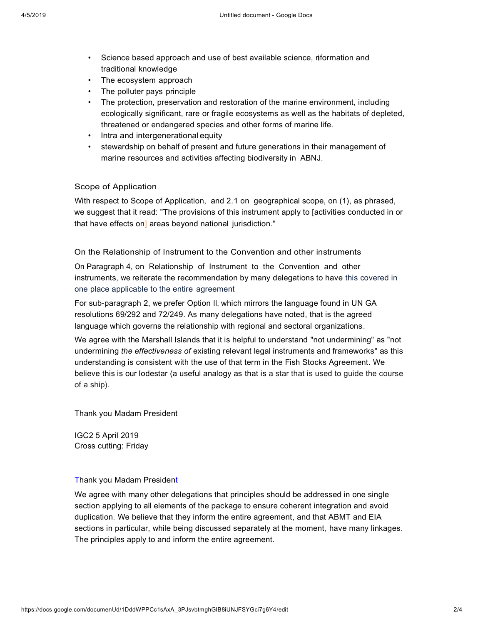- Science based approach and use of best available science, riformation and traditional knowledge
- The ecosystem approach
- The polluter pays principle
- The protection, preservation and restoration of the marine environment, including ecologically significant, rare or fragile ecosystems as well as the habitats of depleted, threatened or endangered species and other forms of marine life.
- Intra and intergenerationalequity
- stewardship on behalf of present and future generations in their management of marine resources and activities affecting biodiversity in ABNJ.

### Scope of Application

With respect to Scope of Application, and 2.1 on geographical scope, on (1), as phrased, we suggest that it read: "The provisions of this instrument apply to [activities conducted in or that have effects on] areas beyond national jurisdiction."

On the Relationship of Instrument to the Convention and other instruments

On Paragraph 4, on Relationship of Instrument to the Convention and other instruments, we reiterate the recommendation by many delegations to have this covered in one place applicable to the entire agreement

For sub-paragraph 2, we prefer Option II, which mirrors the language found in UN GA resolutions 69/292 and 72/249. As many delegations have noted, that is the agreed language which governs the relationship with regional and sectoral organizations.

We agree with the Marshall Islands that it is helpful to understand "not undermining" as "not undermining *the effectiveness of* existing relevant legal instruments and frameworks" as this understanding is consistent with the use of that term in the Fish Stocks Agreement. We believe this is our lodestar (a useful analogy as that is a star that is used to guide the course of a ship).

Thank you Madam President

IGC2 5 April 2019 Cross cutting: Friday

#### Thank you Madam President

We agree with many other delegations that principles should be addressed in one single section applying to all elements of the package to ensure coherent integration and avoid duplication. We believe that they inform the entire agreement, and that ABMT and EIA sections in particular, while being discussed separately at the moment, have many linkages. The principles apply to and inform the entire agreement.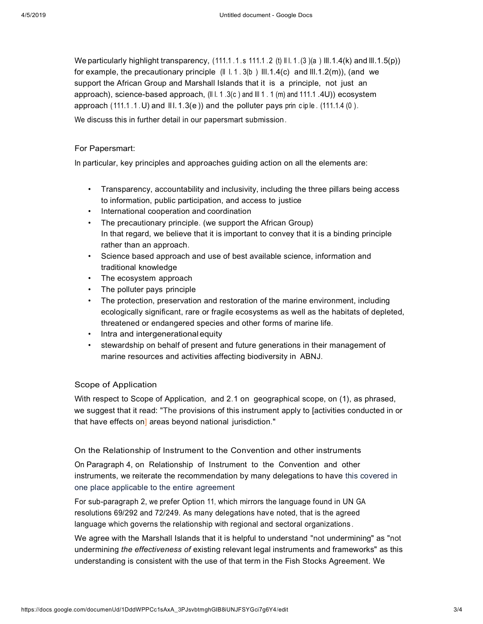We particularly highlight transparency,  $(111.1 .1.5 111.1 .2 (t) \parallel 1.1.6(3)(a) \parallel 1.1.4(k)$  and  $\parallel 1.1.5(p)$ ) for example, the precautionary principle (II I.1.3(b) III.1.4(c) and III.1.2(m)), (and we support the African Group and Marshall Islands that it is a principle, not just an approach), science-based approach, (III. 1.3(c) and III 1.1 (m) and 111.1 .4U)) ecosystem approach  $(111.1.1.1)$  and  $[II.1.3(e)]$  and the polluter pays prin ciple.  $(111.1.4(0))$ .

We discuss this in further detail in our papersmart submission.

### For Papersmart:

In particular, key principles and approaches guiding action on all the elements are:

- Transparency, accountability and inclusivity, including the three pillars being access to information, public participation, and access to justice
- International cooperation and coordination
- The precautionary principle. (we support the African Group) In that regard, we believe that it is important to convey that it is a binding principle rather than an approach.
- Science based approach and use of best available science, information and traditional knowledge
- The ecosystem approach
- The polluter pays principle
- The protection, preservation and restoration of the marine environment, including ecologically significant, rare or fragile ecosystems as well as the habitats of depleted, threatened or endangered species and other forms of marine life.
- Intra and intergenerationalequity
- stewardship on behalf of present and future generations in their management of marine resources and activities affecting biodiversity in ABNJ.

# Scope of Application

With respect to Scope of Application, and 2.1 on geographical scope, on (1), as phrased, we suggest that it read: "The provisions of this instrument apply to [activities conducted in or that have effects on] areas beyond national jurisdiction."

# On the Relationship of Instrument to the Convention and other instruments

On Paragraph 4, on Relationship of Instrument to the Convention and other instruments, we reiterate the recommendation by many delegations to have this covered in one place applicable to the entire agreement

For sub-paragraph 2, we prefer Option 11, which mirrors the language found in UN GA resolutions 69/292 and 72/249. As many delegations have noted, that is the agreed language which governs the relationship with regional and sectoral organizations .

We agree with the Marshall Islands that it is helpful to understand "not undermining" as "not undermining *the effectiveness of* existing relevant legal instruments and frameworks" as this understanding is consistent with the use of that term in the Fish Stocks Agreement. We